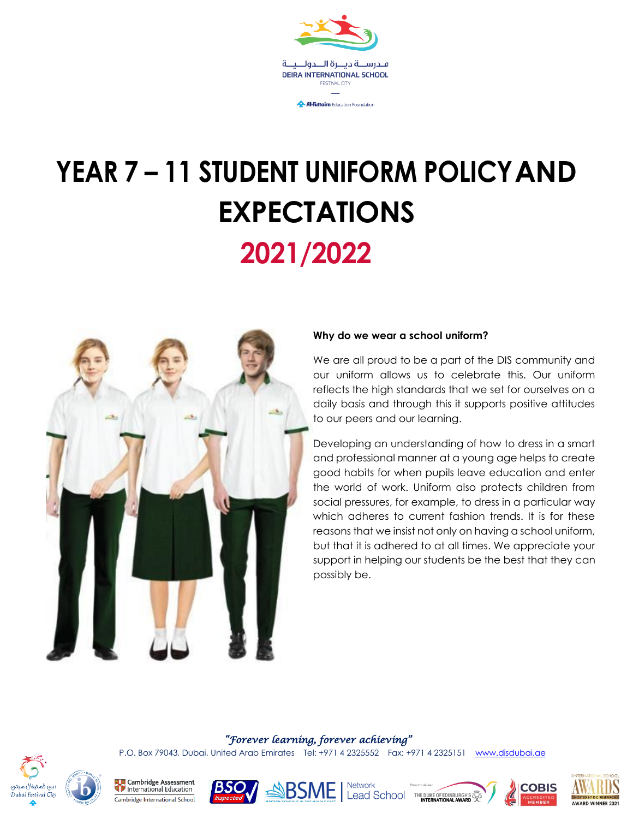

# **YEAR 7 – 11 STUDENT UNIFORM POLICYAND EXPECTATIONS 2021/2022**



#### **Why do we wear a school uniform?**

We are all proud to be a part of the DIS community and our uniform allows us to celebrate this. Our uniform reflects the high standards that we set for ourselves on a daily basis and through this it supports positive attitudes to our peers and our learning.

Developing an understanding of how to dress in a smart and professional manner at a young age helps to create good habits for when pupils leave education and enter the world of work. Uniform also protects children from social pressures, for example, to dress in a particular way which adheres to current fashion trends. It is for these reasons that we insist not only on having a school uniform, but that it is adhered to at all times. We appreciate your support in helping our students be the best that they can possibly be.

#### *"Forever learning, forever achieving"*

P.O. Box 79043, Dubai, United Arab Emirates Tel: +971 4 2325552 Fax: +971 4 2325151 [www.disdubai.ae](http://www.disdubai.ae/)



**Ex** Cambridge Assessment<br>Dinternational Education Cambridge International School









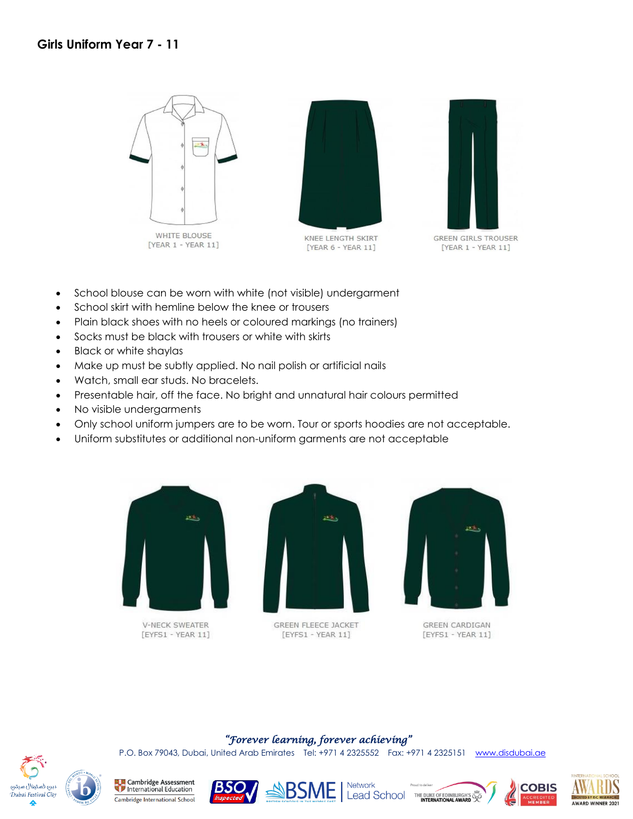

[YEAR 1 - YEAR 11]



KNEE LENGTH SKIRT [YEAR 6 - YEAR 11]



**GREEN GIRLS TROUSER**  $[YEAR 1 - YEAR 11]$ 

- School blouse can be worn with white (not visible) undergarment
- School skirt with hemline below the knee or trousers
- Plain black shoes with no heels or coloured markings (no trainers)
- Socks must be black with trousers or white with skirts
- Black or white shaylas
- Make up must be subtly applied. No nail polish or artificial nails
- Watch, small ear studs. No bracelets.
- Presentable hair, off the face. No bright and unnatural hair colours permitted
- No visible undergarments
- Only school uniform jumpers are to be worn. Tour or sports hoodies are not acceptable.
- Uniform substitutes or additional non-uniform garments are not acceptable



V-NECK SWEATER [EYFS1 - YEAR 11]



**GREEN FLEECE JACKET**  $[EYFS1 - YEAR 11]$ 



GREEN CARDIGAN [EYFS1 - YEAR 11]

#### *"Forever learning, forever achieving"*

P.O. Box 79043, Dubai, United Arab Emirates Tel: +971 4 2325552 Fax: +971 4 2325151 [www.disdubai.ae](http://www.disdubai.ae/)



**Ex. Ex. Cambridge Assessment**<br> **We determine the Education** Cambridge International School









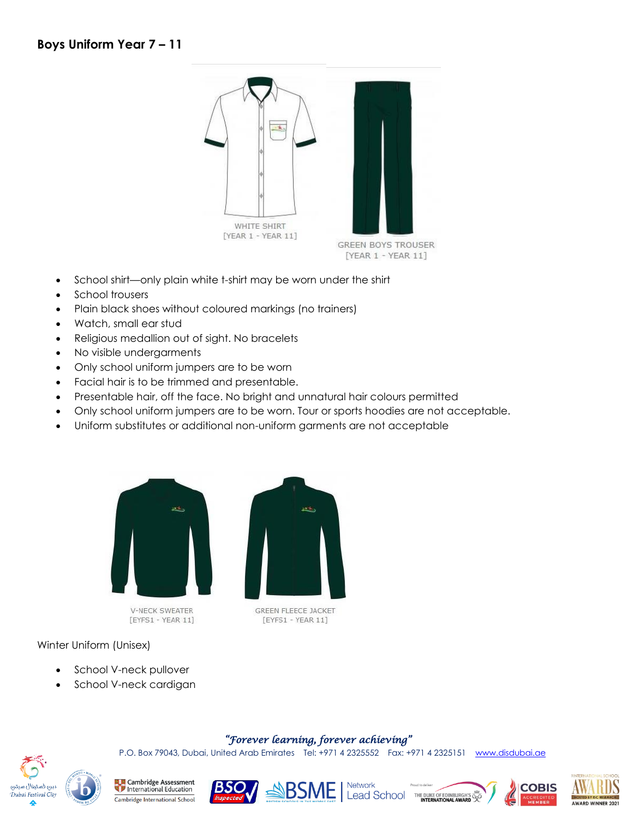

- School shirt—only plain white t-shirt may be worn under the shirt
- School trousers
- Plain black shoes without coloured markings (no trainers)
- Watch, small ear stud
- Religious medallion out of sight. No bracelets
- No visible undergarments
- Only school uniform jumpers are to be worn
- Facial hair is to be trimmed and presentable.
- Presentable hair, off the face. No bright and unnatural hair colours permitted
- Only school uniform jumpers are to be worn. Tour or sports hoodies are not acceptable.
- Uniform substitutes or additional non-uniform garments are not acceptable



[EYFS1 - YEAR 11]

[EYFS1 - YEAR 11]

*"Forever learning, forever achieving"*  P.O. Box 79043, Dubai, United Arab Emirates Tel: +971 4 2325552 Fax: +971 4 2325151 [www.disdubai.ae](http://www.disdubai.ae/)

#### Winter Uniform (Unisex)

- School V-neck pullover
- School V-neck cardigan

# دبي فستيفال سيتي .<br>Dubai Festival City

**La Cambridge Assessment**<br>The International Education Cambridge International School









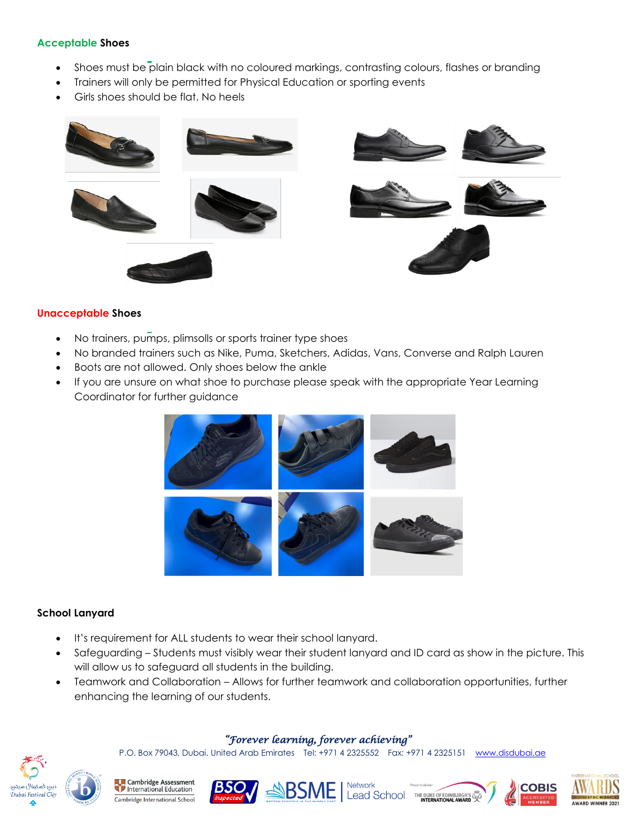#### **Acceptable Shoes**

- Shoes must be plain black with no coloured markings, contrasting colours, flashes or branding
- Trainers will only be permitted for Physical Education or sporting events
- Girls shoes should be flat. No heels



#### **Unacceptable Shoes**

- No trainers, pumps, plimsolls or sports trainer type shoes
- No branded trainers such as Nike, Puma, Sketchers, Adidas, Vans, Converse and Ralph Lauren
- Boots are not allowed. Only shoes below the ankle
- If you are unsure on what shoe to purchase please speak with the appropriate Year Learning Coordinator for further guidance



#### **School Lanyard**

- It's requirement for ALL students to wear their school lanyard.
- Safeguarding Students must visibly wear their student lanyard and ID card as show in the picture. This will allow us to safeguard all students in the building.
- Teamwork and Collaboration Allows for further teamwork and collaboration opportunities, further enhancing the learning of our students.

#### *"Forever learning, forever achieving"*

P.O. Box 79043, Dubai, United Arab Emirates Tel: +971 4 2325552 Fax: +971 4 2325151 [www.disdubai.ae](http://www.disdubai.ae/)



**Cambridge Assessment**<br>International Education Cambridge International School







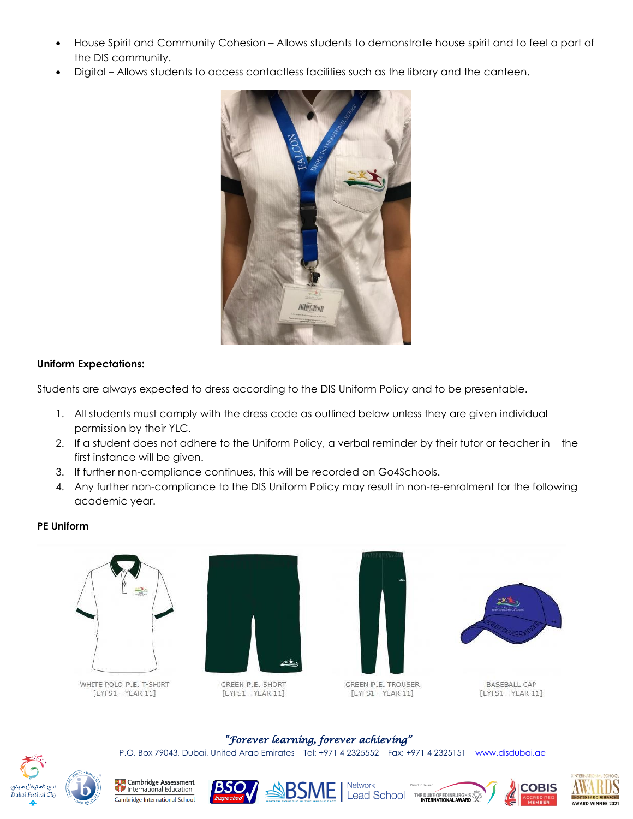- House Spirit and Community Cohesion Allows students to demonstrate house spirit and to feel a part of the DIS community.
- Digital Allows students to access contactless facilities such as the library and the canteen.



#### **Uniform Expectations:**

Students are always expected to dress according to the DIS Uniform Policy and to be presentable.

- 1. All students must comply with the dress code as outlined below unless they are given individual permission by their YLC.
- 2. If a student does not adhere to the Uniform Policy, a verbal reminder by their tutor or teacher in the first instance will be given.
- 3. If further non-compliance continues, this will be recorded on Go4Schools.
- 4. Any further non-compliance to the DIS Uniform Policy may result in non-re-enrolment for the following academic year.

*"Forever learning, forever achieving"*  P.O. Box 79043, Dubai, United Arab Emirates Tel: +971 4 2325552 Fax: +971 4 2325151 [www.disdubai.ae](http://www.disdubai.ae/)

### **PE Uniform**



WHITE POLO P.E. T-SHIRT [EYFS1 - YEAR 11]



GREEN P.E. SHORT [EYFS1 - YEAR 11]





**BASEBALL CAP** [EYFS1 - YEAR 11]



**Ex** Cambridge Assessment<br>Dinternational Education Cambridge International School